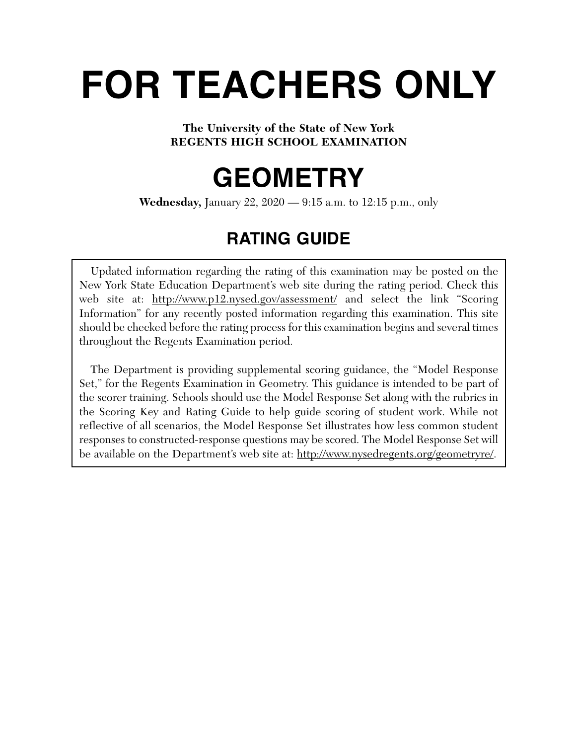# **FOR TEACHERS ONLY**

# **The University of the State of New York REGENTS HIGH SCHOOL EXAMINATION**

# **GEOMETRY**

**Wednesday,** January 22, 2020 — 9:15 a.m. to 12:15 p.m., only

# **RATING GUIDE**

Updated information regarding the rating of this examination may be posted on the New York State Education Department's web site during the rating period. Check this web site at: http://www.p12.nysed.gov/assessment/ and select the link "Scoring Information" for any recently posted information regarding this examination. This site should be checked before the rating process for this examination begins and several times throughout the Regents Examination period.

The Department is providing supplemental scoring guidance, the "Model Response Set," for the Regents Examination in Geometry. This guidance is intended to be part of the scorer training. Schools should use the Model Response Set along with the rubrics in the Scoring Key and Rating Guide to help guide scoring of student work. While not reflective of all scenarios, the Model Response Set illustrates how less common student responses to constructed-response questions may be scored. The Model Response Set will be available on the Department's web site at: http://www.nysedregents.org/geometryre/.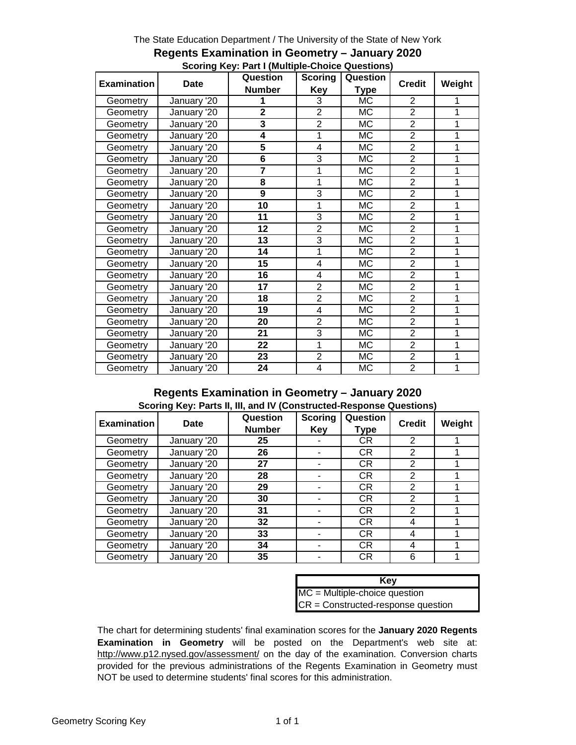#### The State Education Department / The University of the State of New York

|                    | <b>Date</b> | Question                | <b>Scoring</b> | Question    | <b>Credit</b>  | Weight |
|--------------------|-------------|-------------------------|----------------|-------------|----------------|--------|
| <b>Examination</b> |             | <b>Number</b>           | Key            | <b>Type</b> |                |        |
| Geometry           | January '20 |                         | 3              | МC          | 2              |        |
| Geometry           | January '20 | $\overline{2}$          | $\overline{2}$ | МC          | $\overline{2}$ | 1      |
| Geometry           | January '20 | 3                       | $\overline{2}$ | МC          | $\overline{2}$ | 1      |
| Geometry           | January '20 | 4                       | 1              | МC          | $\overline{2}$ | 1      |
| Geometry           | January '20 | $\overline{\mathbf{5}}$ | 4              | МC          | $\overline{2}$ | 1      |
| Geometry           | January '20 | 6                       | 3              | МC          | $\overline{2}$ | 1      |
| Geometry           | January '20 | $\overline{7}$          | 1              | <b>MC</b>   | $\overline{2}$ | 1      |
| Geometry           | January '20 | 8                       | 1              | МC          | $\overline{2}$ | 1      |
| Geometry           | January '20 | 9                       | 3              | <b>MC</b>   | $\overline{2}$ | 1      |
| Geometry           | January '20 | 10                      | 1              | МC          | $\overline{2}$ | 1      |
| Geometry           | January '20 | 11                      | 3              | МC          | $\overline{2}$ | 1      |
| Geometry           | January '20 | 12                      | $\overline{2}$ | МC          | $\overline{2}$ | 1      |
| Geometry           | January '20 | 13                      | $\overline{3}$ | <b>MC</b>   | $\overline{2}$ | 1      |
| Geometry           | January '20 | 14                      | 1              | <b>MC</b>   | $\overline{2}$ | 1      |
| Geometry           | January '20 | 15                      | 4              | МC          | $\overline{2}$ | 1      |
| Geometry           | January '20 | 16                      | 4              | <b>MC</b>   | $\overline{2}$ | 1      |
| Geometry           | January '20 | 17                      | $\overline{2}$ | МC          | $\overline{2}$ | 1      |
| Geometry           | January '20 | 18                      | $\overline{2}$ | МC          | $\overline{2}$ | 1      |
| Geometry           | January '20 | 19                      | 4              | МC          | $\overline{2}$ | 1      |
| Geometry           | January '20 | 20                      | $\overline{2}$ | <b>MC</b>   | $\overline{2}$ | 1      |
| Geometry           | January '20 | 21                      | 3              | МC          | $\overline{2}$ | 1      |
| Geometry           | January '20 | 22                      | 1              | МC          | $\overline{2}$ | 1      |
| Geometry           | January '20 | 23                      | $\overline{2}$ | МC          | $\overline{2}$ | 1      |
| Geometry           | January '20 | 24                      | 4              | МC          | $\overline{2}$ | 1      |

#### **Regents Examination in Geometry – January 2020 Scoring Key: Part I (Multiple-Choice Questions)**

#### **Regents Examination in Geometry – January 2020 Scoring Key: Parts II, III, and IV (Constructed-Response Questions)**

| <b>Examination</b> | Date        | Question<br><b>Number</b> | <b>Scoring</b><br>Key | Question<br>Type | <b>Credit</b> | Weight |
|--------------------|-------------|---------------------------|-----------------------|------------------|---------------|--------|
| Geometry           | January '20 | 25                        |                       | CR.              | 2             |        |
| Geometry           | January '20 | 26                        |                       | CR.              | 2             |        |
| Geometry           | January '20 | 27                        |                       | CR.              | 2             |        |
| Geometry           | January '20 | 28                        |                       | CR.              | 2             |        |
| Geometry           | January '20 | 29                        |                       | CR.              | 2             |        |
| Geometry           | January '20 | 30                        |                       | CR.              | 2             |        |
| Geometry           | January '20 | 31                        |                       | CR.              | 2             |        |
| Geometry           | January '20 | 32                        |                       | CR.              | 4             |        |
| Geometry           | January '20 | 33                        |                       | CR.              | 4             |        |
| Geometry           | January '20 | 34                        |                       | CR.              | 4             |        |
| Geometry           | January '20 | 35                        |                       | CR.              | 6             |        |

| Key                                  |
|--------------------------------------|
| $MC = Multiple-choice question$      |
| $CR = Constructed-response question$ |

The chart for determining students' final examination scores for the **January 2020 Regents Examination in Geometry** will be posted on the Department's web site at: http://www.p12.nysed.gov/assessment/ on the day of the examination. Conversion charts provided for the previous administrations of the Regents Examination in Geometry must NOT be used to determine students' final scores for this administration.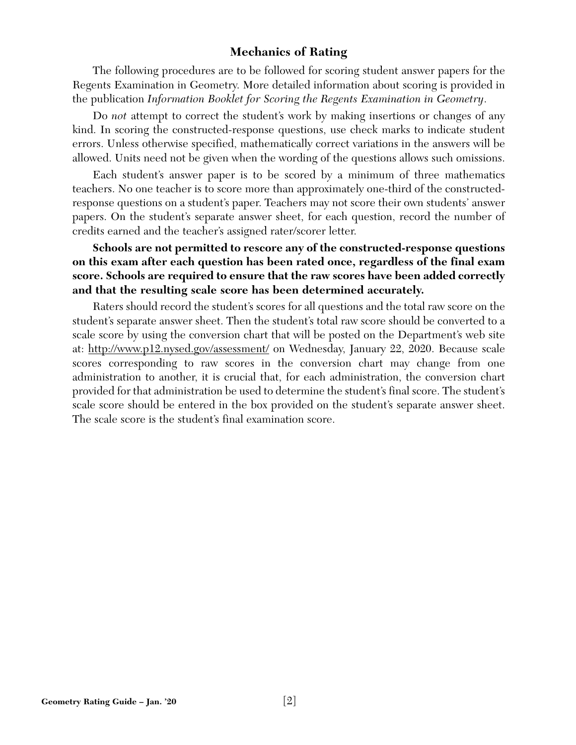# **Mechanics of Rating**

The following procedures are to be followed for scoring student answer papers for the Regents Examination in Geometry. More detailed information about scoring is provided in the publication *Information Booklet for Scoring the Regents Examination in Geometry*.

Do *not* attempt to correct the student's work by making insertions or changes of any kind. In scoring the constructed-response questions, use check marks to indicate student errors. Unless otherwise specified, mathematically correct variations in the answers will be allowed. Units need not be given when the wording of the questions allows such omissions.

Each student's answer paper is to be scored by a minimum of three mathematics teachers. No one teacher is to score more than approximately one-third of the constructedresponse questions on a student's paper. Teachers may not score their own students' answer papers. On the student's separate answer sheet, for each question, record the number of credits earned and the teacher's assigned rater/scorer letter.

# **Schools are not permitted to rescore any of the constructed-response questions on this exam after each question has been rated once, regardless of the final exam score. Schools are required to ensure that the raw scores have been added correctly and that the resulting scale score has been determined accurately.**

Raters should record the student's scores for all questions and the total raw score on the student's separate answer sheet. Then the student's total raw score should be converted to a scale score by using the conversion chart that will be posted on the Department's web site at: http://www.p12.nysed.gov/assessment/ on Wednesday, January 22, 2020. Because scale scores corresponding to raw scores in the conversion chart may change from one administration to another, it is crucial that, for each administration, the conversion chart provided for that administration be used to determine the student's final score. The student's scale score should be entered in the box provided on the student's separate answer sheet. The scale score is the student's final examination score.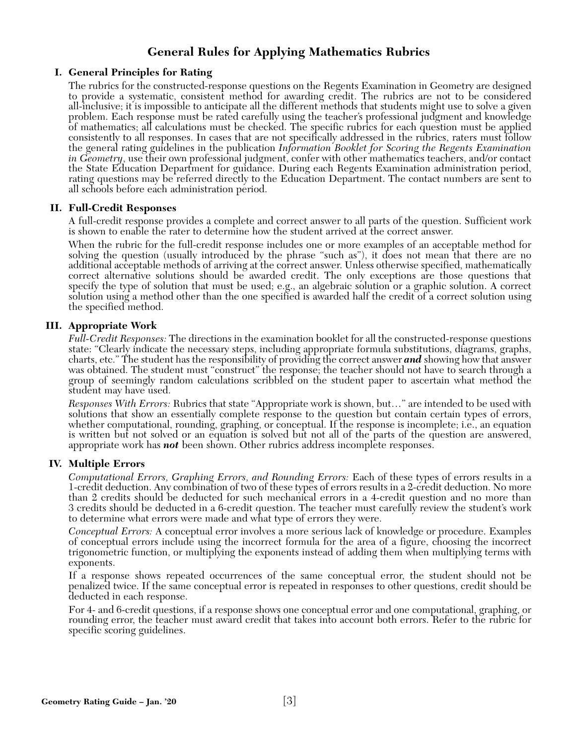# **General Rules for Applying Mathematics Rubrics**

#### **I. General Principles for Rating**

The rubrics for the constructed-response questions on the Regents Examination in Geometry are designed to provide a systematic, consistent method for awarding credit. The rubrics are not to be considered all-inclusive; it is impossible to anticipate all the different methods that students might use to solve a given problem. Each response must be rated carefully using the teacher's professional judgment and knowledge of mathematics; all calculations must be checked. The specific rubrics for each question must be applied consistently to all responses. In cases that are not specifically addressed in the rubrics, raters must follow the general rating guidelines in the publication *Information Booklet for Scoring the Regents Examination* in Geometry, use their own professional judgment, confer with other mathematics teachers, and/or contact the State Education Department for guidance. During each Regents Examination administration period, rating questions may be referred directly to the Education Department. The contact numbers are sent to all schools before each administration period.

#### **II. Full-Credit Responses**

A full-credit response provides a complete and correct answer to all parts of the question. Sufficient work is shown to enable the rater to determine how the student arrived at the correct answer.

When the rubric for the full-credit response includes one or more examples of an acceptable method for solving the question (usually introduced by the phrase "such as"), it does not mean that there are no additional acceptable methods of arriving at the correct answer. Unless otherwise specified, mathematically correct alternative solutions should be awarded credit. The only exceptions are those questions that specify the type of solution that must be used; e.g., an algebraic solution or a graphic solution. A correct solution using a method other than the one specified is awarded half the credit of a correct solution using the specified method.

#### **III. Appropriate Work**

*Full-Credit Responses:* The directions in the examination booklet for all the constructed-response questions state: "Clearly indicate the necessary steps, including appropriate formula substitutions, diagrams, graphs, charts, etc." The student has the responsibility of providing the correct answer *and* showing how that answer was obtained. The student must "construct" the response; the teacher should not have to search through a group of seemingly random calculations scribbled on the student paper to ascertain what method the student may have used.

*Responses With Errors:* Rubrics that state "Appropriate work is shown, but…" are intended to be used with solutions that show an essentially complete response to the question but contain certain types of errors, whether computational, rounding, graphing, or conceptual. If the response is incomplete; i.e., an equation is written but not solved or an equation is solved but not all of the parts of the question are answered, appropriate work has **not** been shown. Other rubrics address incomplete responses.

#### **IV. Multiple Errors**

*Computational Errors, Graphing Errors, and Rounding Errors:* Each of these types of errors results in a 1-credit deduction. Any combination of two of these types of errors results in a 2-credit deduction. No more than 2 credits should be deducted for such mechanical errors in a 4-credit question and no more than 3 credits should be deducted in a 6-credit question. The teacher must carefully review the student's work to determine what errors were made and what type of errors they were.

*Conceptual Errors:* A conceptual error involves a more serious lack of knowledge or procedure. Examples of conceptual errors include using the incorrect formula for the area of a figure, choosing the incorrect trigonometric function, or multiplying the exponents instead of adding them when multiplying terms with exponents.

If a response shows repeated occurrences of the same conceptual error, the student should not be penalized twice. If the same conceptual error is repeated in responses to other questions, credit should be deducted in each response.

For 4- and 6-credit questions, if a response shows one conceptual error and one computational, graphing, or rounding error, the teacher must award credit that takes into account both errors. Refer to the rubric for specific scoring guidelines.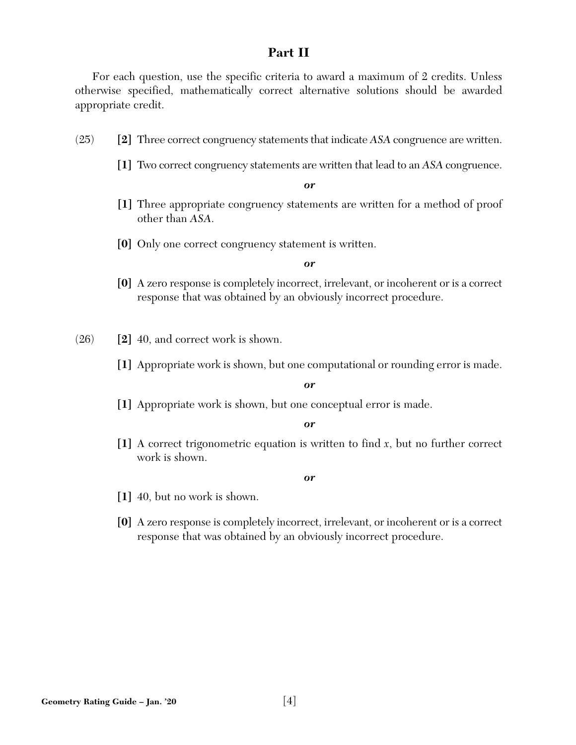# **Part II**

For each question, use the specific criteria to award a maximum of 2 credits. Unless otherwise specified, mathematically correct alternative solutions should be awarded appropriate credit.

- (25) **[2]** Three correct congruency statements that indicate *ASA* congruence are written.
	- **[1]** Two correct congruency statements are written that lead to an *ASA* congruence.

*or* 

- **[1]** Three appropriate congruency statements are written for a method of proof other than *ASA*.
- **[0]** Only one correct congruency statement is written.

#### *or*

**[0]** A zero response is completely incorrect, irrelevant, or incoherent or is a correct response that was obtained by an obviously incorrect procedure.

(26) **[2]** 40, and correct work is shown.

**[1]** Appropriate work is shown, but one computational or rounding error is made.

#### *or*

**[1]** Appropriate work is shown, but one conceptual error is made.

#### *or*

**[1]** A correct trigonometric equation is written to find *x*, but no further correct work is shown.

- **[1]** 40, but no work is shown.
- **[0]** A zero response is completely incorrect, irrelevant, or incoherent or is a correct response that was obtained by an obviously incorrect procedure.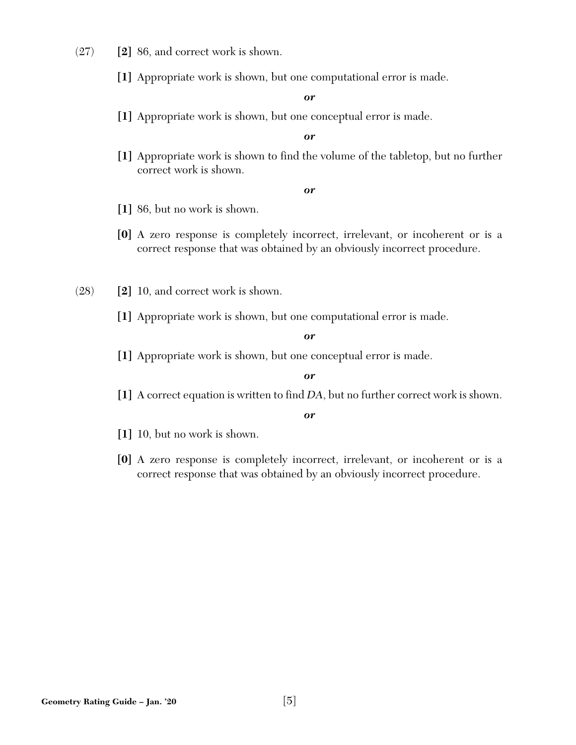- (27) **[2]** 86, and correct work is shown.
	- **[1]** Appropriate work is shown, but one computational error is made.

**[1]** Appropriate work is shown, but one conceptual error is made.

#### *or*

**[1]** Appropriate work is shown to find the volume of the tabletop, but no further correct work is shown.

#### *or*

- **[1]** 86, but no work is shown.
- **[0]** A zero response is completely incorrect, irrelevant, or incoherent or is a correct response that was obtained by an obviously incorrect procedure.
- (28) **[2]** 10, and correct work is shown.
	- **[1]** Appropriate work is shown, but one computational error is made.

#### *or*

**[1]** Appropriate work is shown, but one conceptual error is made.

#### *or*

**[1]** A correct equation is written to find *DA*, but no further correct work is shown.

- **[1]** 10, but no work is shown.
- **[0]** A zero response is completely incorrect, irrelevant, or incoherent or is a correct response that was obtained by an obviously incorrect procedure.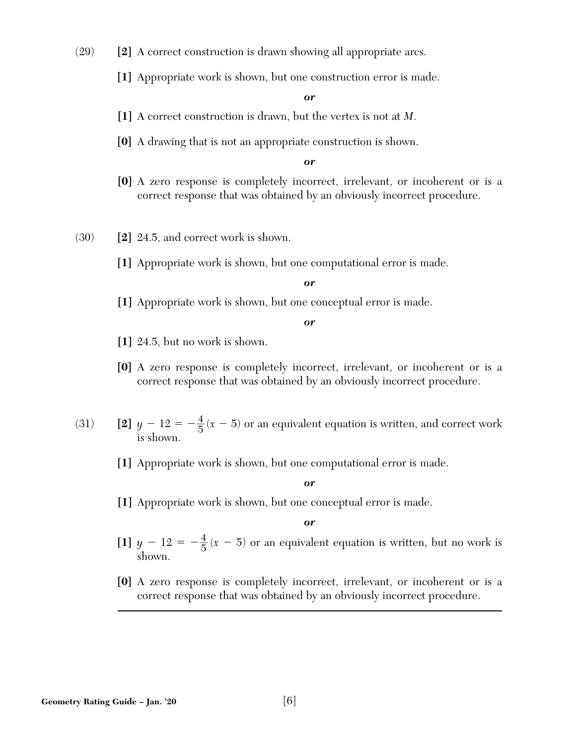- (29) **[2]** A correct construction is drawn showing all appropriate arcs.
	- **[1]** Appropriate work is shown, but one construction error is made.

- **[1]** A correct construction is drawn, but the vertex is not at *M*.
- **[0]** A drawing that is not an appropriate construction is shown.

#### *or*

- **[0]** A zero response is completely incorrect, irrelevant, or incoherent or is a correct response that was obtained by an obviously incorrect procedure.
- (30) **[2]** 24.5, and correct work is shown.
	- **[1]** Appropriate work is shown, but one computational error is made.

#### *or*

**[1]** Appropriate work is shown, but one conceptual error is made.

*or* 

- **[1]** 24.5, but no work is shown.
- **[0]** A zero response is completely incorrect, irrelevant, or incoherent or is a correct response that was obtained by an obviously incorrect procedure.
- (31) **[2]**  $y 12 = -\frac{4}{5}(x 5)$  or an equivalent equation is written, and correct work is shown.
	- **[1]** Appropriate work is shown, but one computational error is made.

*or* 

**[1]** Appropriate work is shown, but one conceptual error is made.

- [1]  $y 12 = -\frac{4}{5}(x 5)$  or an equivalent equation is written, but no work is shown.
- **[0]** A zero response is completely incorrect, irrelevant, or incoherent or is a correct response that was obtained by an obviously incorrect procedure.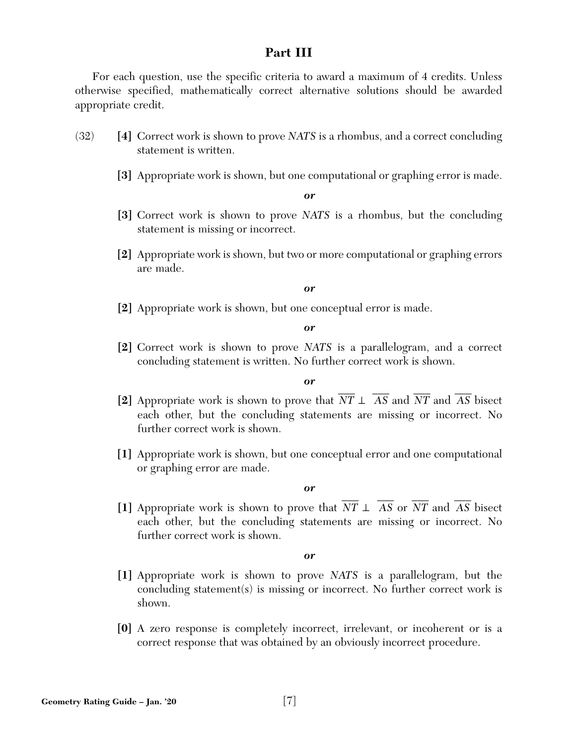# **Part III**

For each question, use the specific criteria to award a maximum of 4 credits. Unless otherwise specified, mathematically correct alternative solutions should be awarded appropriate credit.

- (32) **[4]** Correct work is shown to prove *NATS* is a rhombus, and a correct concluding statement is written.
	- **[3]** Appropriate work is shown, but one computational or graphing error is made.

*or* 

- **[3]** Correct work is shown to prove *NATS* is a rhombus, but the concluding statement is missing or incorrect.
- **[2]** Appropriate work is shown, but two or more computational or graphing errors are made.

*or* 

**[2]** Appropriate work is shown, but one conceptual error is made.

*or* 

**[2]** Correct work is shown to prove *NATS* is a parallelogram, and a correct concluding statement is written. No further correct work is shown.

*or* 

- **[2]** Appropriate work is shown to prove that *NT* ⊥ *AS* and *NT* and *AS* bisect  $\overline{\phantom{a}}$  $\overline{\phantom{a}}$  $\overline{\phantom{a}}$  $\overline{\phantom{a}}$ each other, but the concluding statements are missing or incorrect. No further correct work is shown.
- **[1]** Appropriate work is shown, but one conceptual error and one computational or graphing error are made.

*or* 

**[1]** Appropriate work is shown to prove that  $\overline{\phantom{a}}$ *NT* ⊥  $\overline{\phantom{a}}$ *AS* or  $\overline{\phantom{a}}$ *NT* and  $\overline{\phantom{a}}$ *AS* bisect each other, but the concluding statements are missing or incorrect. No further correct work is shown.

- **[1]** Appropriate work is shown to prove *NATS* is a parallelogram, but the concluding statement(s) is missing or incorrect. No further correct work is shown.
- **[0]** A zero response is completely incorrect, irrelevant, or incoherent or is a correct response that was obtained by an obviously incorrect procedure.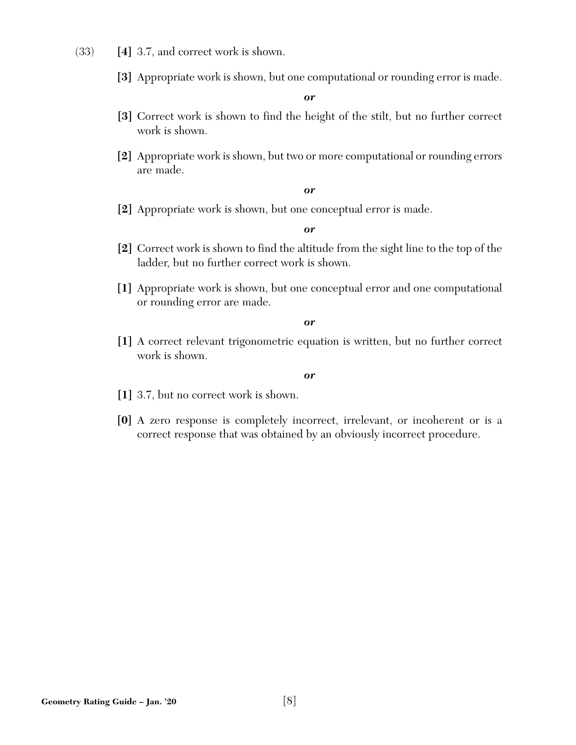- (33) **[4]** 3.7, and correct work is shown.
	- **[3]** Appropriate work is shown, but one computational or rounding error is made.

- **[3]** Correct work is shown to find the height of the stilt, but no further correct work is shown.
- **[2]** Appropriate work is shown, but two or more computational or rounding errors are made.

#### *or*

**[2]** Appropriate work is shown, but one conceptual error is made.

#### *or*

- **[2]** Correct work is shown to find the altitude from the sight line to the top of the ladder, but no further correct work is shown.
- **[1]** Appropriate work is shown, but one conceptual error and one computational or rounding error are made.

*or* 

**[1]** A correct relevant trigonometric equation is written, but no further correct work is shown.

- **[1]** 3.7, but no correct work is shown.
- **[0]** A zero response is completely incorrect, irrelevant, or incoherent or is a correct response that was obtained by an obviously incorrect procedure.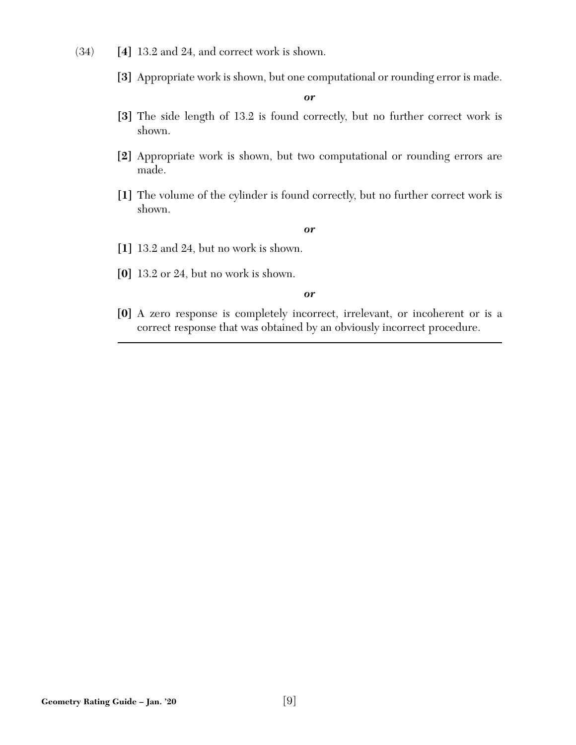- (34) **[4]** 13.2 and 24, and correct work is shown.
	- **[3]** Appropriate work is shown, but one computational or rounding error is made.

- [3] The side length of 13.2 is found correctly, but no further correct work is shown.
- **[2]** Appropriate work is shown, but two computational or rounding errors are made.
- [1] The volume of the cylinder is found correctly, but no further correct work is shown.

#### *or*

- **[1]** 13.2 and 24, but no work is shown.
- **[0]** 13.2 or 24, but no work is shown.

#### *or*

**[0]** A zero response is completely incorrect, irrelevant, or incoherent or is a correct response that was obtained by an obviously incorrect procedure.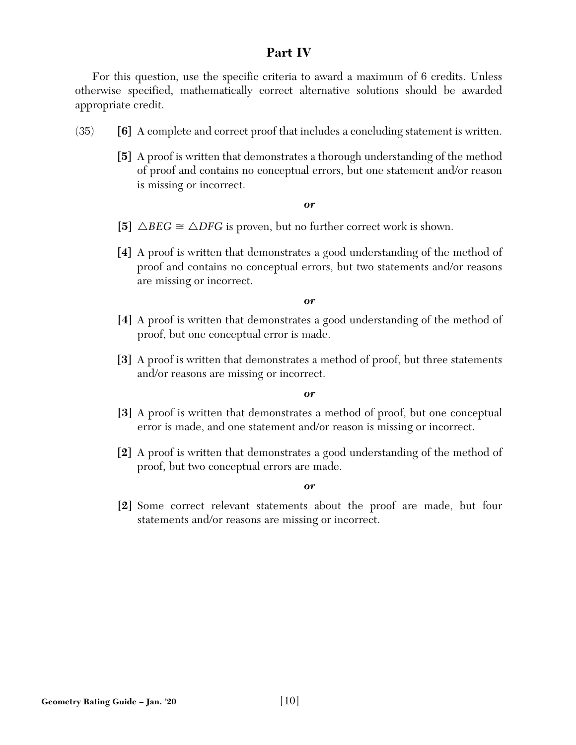# **Part IV**

For this question, use the specific criteria to award a maximum of 6 credits. Unless otherwise specified, mathematically correct alternative solutions should be awarded appropriate credit.

- (35) **[6]** A complete and correct proof that includes a concluding statement is written.
	- **[5]** A proof is written that demonstrates a thorough understanding of the method of proof and contains no conceptual errors, but one statement and/or reason is missing or incorrect.

#### *or*

- [5]  $\triangle BEG \cong \triangle DFG$  is proven, but no further correct work is shown.
- **[4]** A proof is written that demonstrates a good understanding of the method of proof and contains no conceptual errors, but two statements and/or reasons are missing or incorrect.

#### *or*

- **[4]** A proof is written that demonstrates a good understanding of the method of proof, but one conceptual error is made.
- **[3]** A proof is written that demonstrates a method of proof, but three statements and/or reasons are missing or incorrect.

#### *or*

- **[3]** A proof is written that demonstrates a method of proof, but one conceptual error is made, and one statement and/or reason is missing or incorrect.
- **[2]** A proof is written that demonstrates a good understanding of the method of proof, but two conceptual errors are made.

#### *or*

**[2]** Some correct relevant statements about the proof are made, but four statements and/or reasons are missing or incorrect.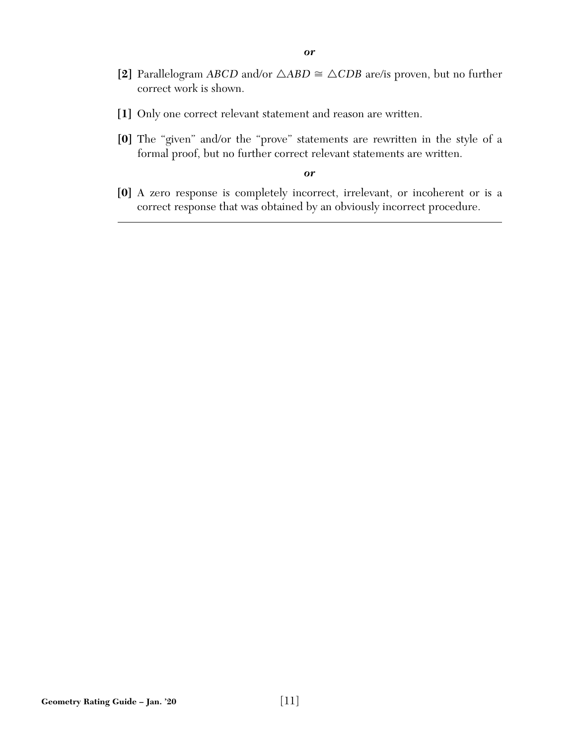- [2] Parallelogram *ABCD* and/or  $\triangle ABD \cong \triangle CDB$  are/is proven, but no further correct work is shown.
- **[1]** Only one correct relevant statement and reason are written.
- **[0]** The "given" and/or the "prove" statements are rewritten in the style of a formal proof, but no further correct relevant statements are written.

**[0]** A zero response is completely incorrect, irrelevant, or incoherent or is a correct response that was obtained by an obviously incorrect procedure.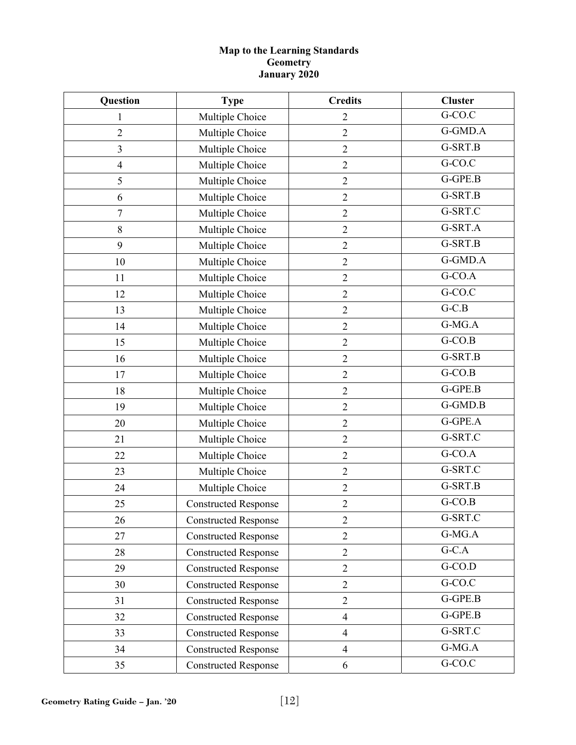#### **Map to the Learning Standards Geometry January 2020**

| Question                | <b>Type</b>                 | <b>Credits</b>   | <b>Cluster</b>       |
|-------------------------|-----------------------------|------------------|----------------------|
| 1                       | Multiple Choice             | $\overline{2}$   | G-CO.C               |
| $\overline{2}$          | Multiple Choice             | $\overline{2}$   | G-GMD.A              |
| $\overline{\mathbf{3}}$ | Multiple Choice             | $\overline{2}$   | G-SRT.B              |
| $\overline{4}$          | Multiple Choice             | $\sqrt{2}$       | G-CO.C               |
| 5                       | Multiple Choice             | $\sqrt{2}$       | G-GPE.B              |
| 6                       | Multiple Choice             | $\overline{2}$   | G-SRT.B              |
| $\overline{7}$          | Multiple Choice             | $\overline{2}$   | G-SRT.C              |
| 8                       | Multiple Choice             | $\overline{2}$   | G-SRT.A              |
| 9                       | Multiple Choice             | $\boldsymbol{2}$ | G-SRT.B              |
| 10                      | Multiple Choice             | $\overline{2}$   | G-GMD.A              |
| 11                      | Multiple Choice             | $\overline{2}$   | G-CO.A               |
| 12                      | Multiple Choice             | $\sqrt{2}$       | $G-CO.C$             |
| 13                      | Multiple Choice             | $\overline{2}$   | $G-C.B$              |
| 14                      | Multiple Choice             | $\overline{2}$   | G-MG.A               |
| 15                      | Multiple Choice             | $\overline{2}$   | $G-CO.B$             |
| 16                      | Multiple Choice             | $\overline{2}$   | G-SRT.B              |
| 17                      | Multiple Choice             | $\overline{2}$   | $G-CO.B$             |
| 18                      | Multiple Choice             | $\sqrt{2}$       | G-GPE.B              |
| 19                      | Multiple Choice             | $\overline{2}$   | G-GMD.B              |
| 20                      | Multiple Choice             | $\overline{2}$   | G-GPE.A              |
| 21                      | Multiple Choice             | $\overline{2}$   | G-SRT.C              |
| 22                      | Multiple Choice             | $\boldsymbol{2}$ | $G-CO.A$             |
| 23                      | Multiple Choice             | $\sqrt{2}$       | G-SRT.C              |
| 24                      | Multiple Choice             | $\overline{2}$   | G-SRT.B              |
| 25                      | <b>Constructed Response</b> | $\overline{2}$   | $G-CO.B$             |
| 26                      | <b>Constructed Response</b> | $\overline{2}$   | G-SRT.C              |
| 27                      | <b>Constructed Response</b> | $\overline{2}$   | G-MG.A               |
| 28                      | <b>Constructed Response</b> | $\overline{2}$   | $G-C.A$              |
| 29                      | <b>Constructed Response</b> | $\overline{2}$   | $G-CO.D$             |
| 30                      | <b>Constructed Response</b> | $\overline{2}$   | $G-CO.C$             |
| 31                      | <b>Constructed Response</b> | $\overline{2}$   | G-GPE.B              |
| 32                      | <b>Constructed Response</b> | $\overline{4}$   | G-GPE.B              |
| 33                      | <b>Constructed Response</b> | $\overline{4}$   | G-SRT.C              |
| 34                      | <b>Constructed Response</b> | $\overline{4}$   | G-MG.A               |
| 35                      | <b>Constructed Response</b> | 6                | $\overline{G}$ -CO.C |